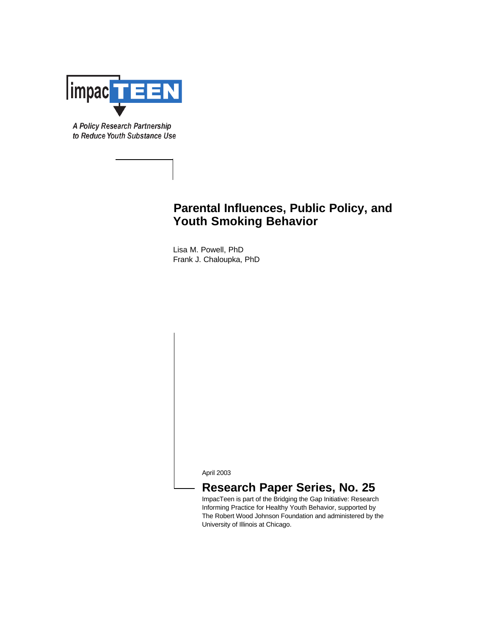

A Policy Research Partnership to Reduce Youth Substance Use

# **Parental Influences, Public Policy, and Youth Smoking Behavior**

Lisa M. Powell, PhD Frank J. Chaloupka, PhD

April 2003

## **Research Paper Series, No. 25**

ImpacTeen is part of the Bridging the Gap Initiative: Research Informing Practice for Healthy Youth Behavior, supported by The Robert Wood Johnson Foundation and administered by the University of Illinois at Chicago.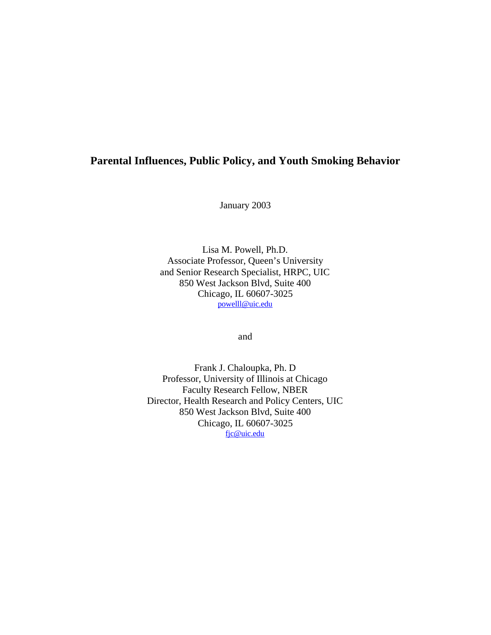## **Parental Influences, Public Policy, and Youth Smoking Behavior**

January 2003

Lisa M. Powell, Ph.D. Associate Professor, Queen's University and Senior Research Specialist, HRPC, UIC 850 West Jackson Blvd, Suite 400 Chicago, IL 60607-3025 powelll@uic.edu

and

Frank J. Chaloupka, Ph. D Professor, University of Illinois at Chicago Faculty Research Fellow, NBER Director, Health Research and Policy Centers, UIC 850 West Jackson Blvd, Suite 400 Chicago, IL 60607-3025 fjc@uic.edu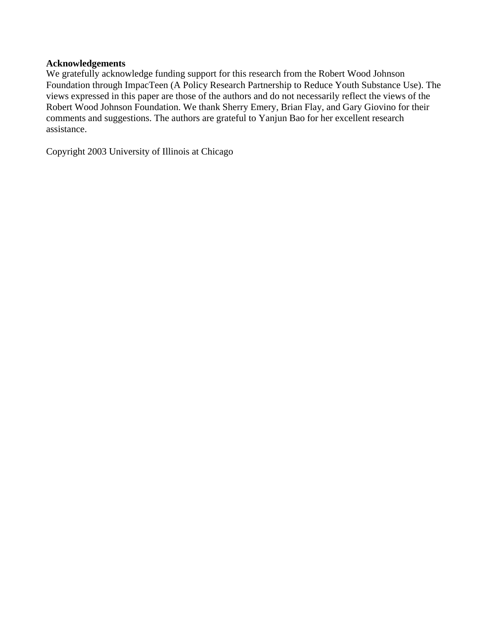## **Acknowledgements**

We gratefully acknowledge funding support for this research from the Robert Wood Johnson Foundation through ImpacTeen (A Policy Research Partnership to Reduce Youth Substance Use). The views expressed in this paper are those of the authors and do not necessarily reflect the views of the Robert Wood Johnson Foundation. We thank Sherry Emery, Brian Flay, and Gary Giovino for their comments and suggestions. The authors are grateful to Yanjun Bao for her excellent research assistance.

Copyright 2003 University of Illinois at Chicago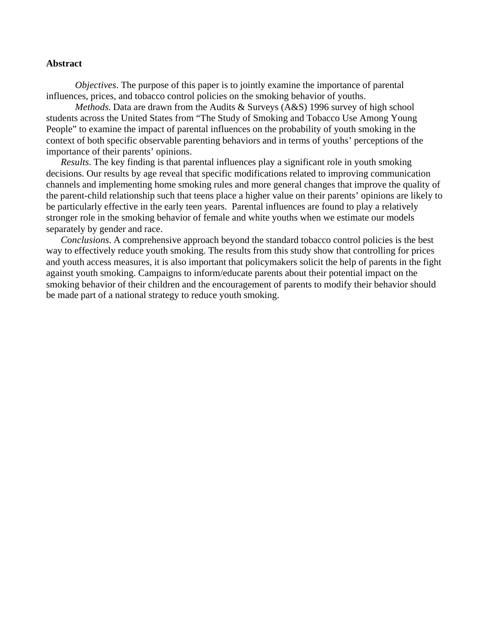### **Abstract**

*Objectives*. The purpose of this paper is to jointly examine the importance of parental influences, prices, and tobacco control policies on the smoking behavior of youths.

*Methods.* Data are drawn from the Audits & Surveys (A&S) 1996 survey of high school students across the United States from "The Study of Smoking and Tobacco Use Among Young People" to examine the impact of parental influences on the probability of youth smoking in the context of both specific observable parenting behaviors and in terms of youths' perceptions of the importance of their parents' opinions.

*Results.* The key finding is that parental influences play a significant role in youth smoking decisions. Our results by age reveal that specific modifications related to improving communication channels and implementing home smoking rules and more general changes that improve the quality of the parent-child relationship such that teens place a higher value on their parents' opinions are likely to be particularly effective in the early teen years. Parental influences are found to play a relatively stronger role in the smoking behavior of female and white youths when we estimate our models separately by gender and race.

*Conclusions.* A comprehensive approach beyond the standard tobacco control policies is the best way to effectively reduce youth smoking. The results from this study show that controlling for prices and youth access measures, it is also important that policymakers solicit the help of parents in the fight against youth smoking. Campaigns to inform/educate parents about their potential impact on the smoking behavior of their children and the encouragement of parents to modify their behavior should be made part of a national strategy to reduce youth smoking.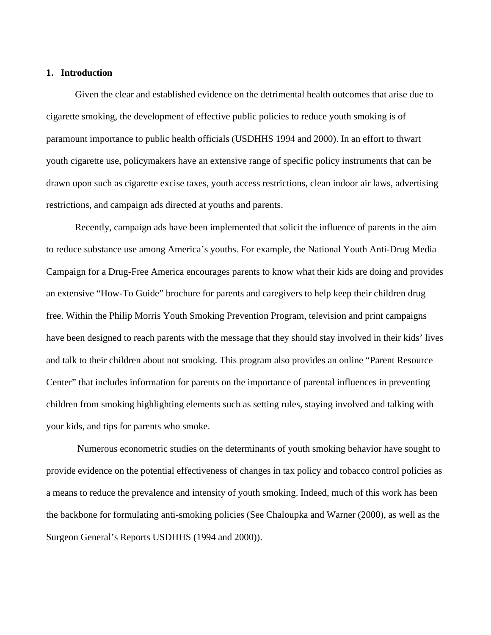## **1. Introduction**

Given the clear and established evidence on the detrimental health outcomes that arise due to cigarette smoking, the development of effective public policies to reduce youth smoking is of paramount importance to public health officials (USDHHS 1994 and 2000). In an effort to thwart youth cigarette use, policymakers have an extensive range of specific policy instruments that can be drawn upon such as cigarette excise taxes, youth access restrictions, clean indoor air laws, advertising restrictions, and campaign ads directed at youths and parents.

Recently, campaign ads have been implemented that solicit the influence of parents in the aim to reduce substance use among America's youths. For example, the National Youth Anti-Drug Media Campaign for a Drug-Free America encourages parents to know what their kids are doing and provides an extensive "How-To Guide" brochure for parents and caregivers to help keep their children drug free. Within the Philip Morris Youth Smoking Prevention Program, television and print campaigns have been designed to reach parents with the message that they should stay involved in their kids' lives and talk to their children about not smoking. This program also provides an online "Parent Resource Center" that includes information for parents on the importance of parental influences in preventing children from smoking highlighting elements such as setting rules, staying involved and talking with your kids, and tips for parents who smoke.

Numerous econometric studies on the determinants of youth smoking behavior have sought to provide evidence on the potential effectiveness of changes in tax policy and tobacco control policies as a means to reduce the prevalence and intensity of youth smoking. Indeed, much of this work has been the backbone for formulating anti-smoking policies (See Chaloupka and Warner (2000), as well as the Surgeon General's Reports USDHHS (1994 and 2000)).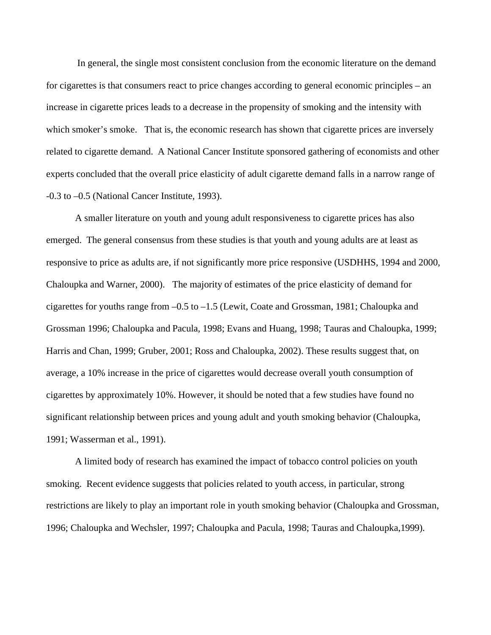In general, the single most consistent conclusion from the economic literature on the demand for cigarettes is that consumers react to price changes according to general economic principles – an increase in cigarette prices leads to a decrease in the propensity of smoking and the intensity with which smoker's smoke. That is, the economic research has shown that cigarette prices are inversely related to cigarette demand. A National Cancer Institute sponsored gathering of economists and other experts concluded that the overall price elasticity of adult cigarette demand falls in a narrow range of -0.3 to –0.5 (National Cancer Institute, 1993).

A smaller literature on youth and young adult responsiveness to cigarette prices has also emerged. The general consensus from these studies is that youth and young adults are at least as responsive to price as adults are, if not significantly more price responsive (USDHHS, 1994 and 2000, Chaloupka and Warner, 2000). The majority of estimates of the price elasticity of demand for cigarettes for youths range from –0.5 to –1.5 (Lewit, Coate and Grossman, 1981; Chaloupka and Grossman 1996; Chaloupka and Pacula, 1998; Evans and Huang, 1998; Tauras and Chaloupka, 1999; Harris and Chan, 1999; Gruber, 2001; Ross and Chaloupka, 2002). These results suggest that, on average, a 10% increase in the price of cigarettes would decrease overall youth consumption of cigarettes by approximately 10%. However, it should be noted that a few studies have found no significant relationship between prices and young adult and youth smoking behavior (Chaloupka, 1991; Wasserman et al., 1991).

A limited body of research has examined the impact of tobacco control policies on youth smoking. Recent evidence suggests that policies related to youth access, in particular, strong restrictions are likely to play an important role in youth smoking behavior (Chaloupka and Grossman, 1996; Chaloupka and Wechsler, 1997; Chaloupka and Pacula, 1998; Tauras and Chaloupka,1999).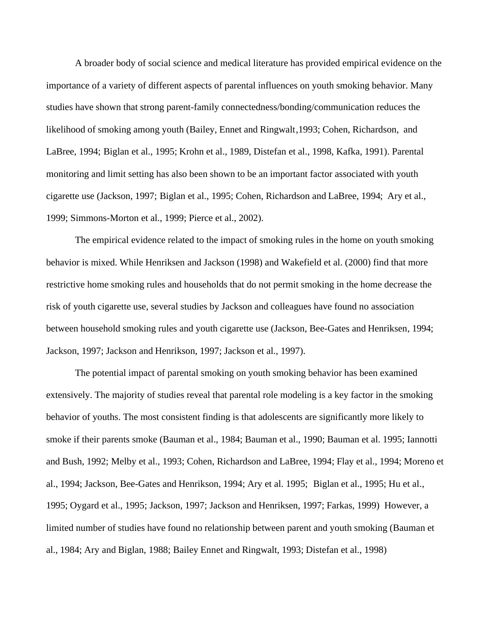A broader body of social science and medical literature has provided empirical evidence on the importance of a variety of different aspects of parental influences on youth smoking behavior. Many studies have shown that strong parent-family connectedness/bonding/communication reduces the likelihood of smoking among youth (Bailey, Ennet and Ringwalt,1993; Cohen, Richardson, and LaBree, 1994; Biglan et al., 1995; Krohn et al., 1989, Distefan et al., 1998, Kafka, 1991). Parental monitoring and limit setting has also been shown to be an important factor associated with youth cigarette use (Jackson, 1997; Biglan et al., 1995; Cohen, Richardson and LaBree, 1994; Ary et al., 1999; Simmons-Morton et al., 1999; Pierce et al., 2002).

The empirical evidence related to the impact of smoking rules in the home on youth smoking behavior is mixed. While Henriksen and Jackson (1998) and Wakefield et al. (2000) find that more restrictive home smoking rules and households that do not permit smoking in the home decrease the risk of youth cigarette use, several studies by Jackson and colleagues have found no association between household smoking rules and youth cigarette use (Jackson, Bee-Gates and Henriksen, 1994; Jackson, 1997; Jackson and Henrikson, 1997; Jackson et al., 1997).

The potential impact of parental smoking on youth smoking behavior has been examined extensively. The majority of studies reveal that parental role modeling is a key factor in the smoking behavior of youths. The most consistent finding is that adolescents are significantly more likely to smoke if their parents smoke (Bauman et al., 1984; Bauman et al., 1990; Bauman et al. 1995; Iannotti and Bush, 1992; Melby et al., 1993; Cohen, Richardson and LaBree, 1994; Flay et al., 1994; Moreno et al., 1994; Jackson, Bee-Gates and Henrikson, 1994; Ary et al. 1995; Biglan et al., 1995; Hu et al., 1995; Oygard et al., 1995; Jackson, 1997; Jackson and Henriksen, 1997; Farkas, 1999) However, a limited number of studies have found no relationship between parent and youth smoking (Bauman et al., 1984; Ary and Biglan, 1988; Bailey Ennet and Ringwalt, 1993; Distefan et al., 1998)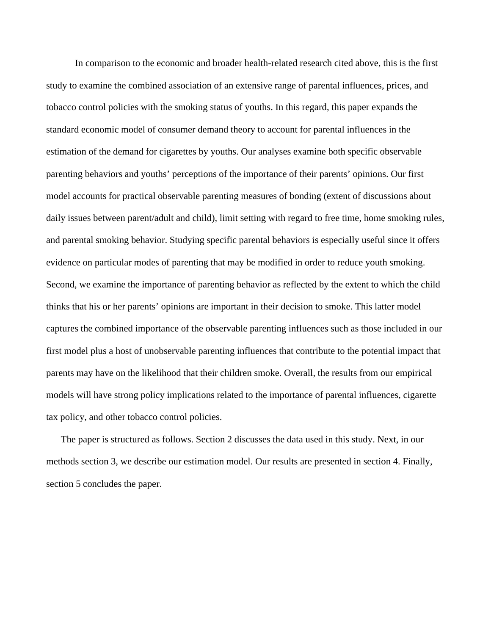In comparison to the economic and broader health-related research cited above, this is the first study to examine the combined association of an extensive range of parental influences, prices, and tobacco control policies with the smoking status of youths. In this regard, this paper expands the standard economic model of consumer demand theory to account for parental influences in the estimation of the demand for cigarettes by youths. Our analyses examine both specific observable parenting behaviors and youths' perceptions of the importance of their parents' opinions. Our first model accounts for practical observable parenting measures of bonding (extent of discussions about daily issues between parent/adult and child), limit setting with regard to free time, home smoking rules, and parental smoking behavior. Studying specific parental behaviors is especially useful since it offers evidence on particular modes of parenting that may be modified in order to reduce youth smoking. Second, we examine the importance of parenting behavior as reflected by the extent to which the child thinks that his or her parents' opinions are important in their decision to smoke. This latter model captures the combined importance of the observable parenting influences such as those included in our first model plus a host of unobservable parenting influences that contribute to the potential impact that parents may have on the likelihood that their children smoke. Overall, the results from our empirical models will have strong policy implications related to the importance of parental influences, cigarette tax policy, and other tobacco control policies.

The paper is structured as follows. Section 2 discusses the data used in this study. Next, in our methods section 3, we describe our estimation model. Our results are presented in section 4. Finally, section 5 concludes the paper.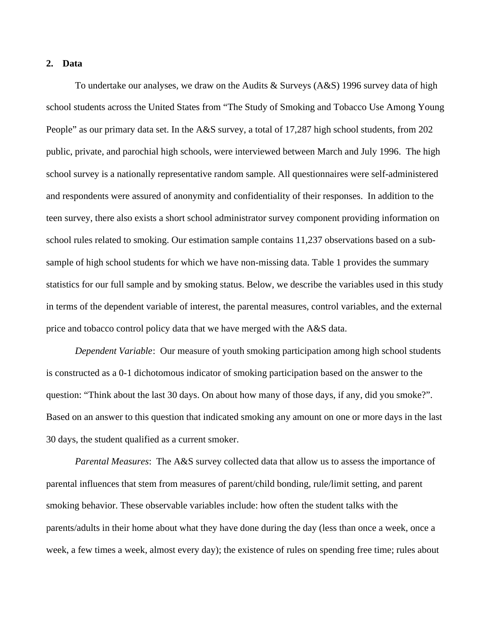## **2. Data**

To undertake our analyses, we draw on the Audits & Surveys (A&S) 1996 survey data of high school students across the United States from "The Study of Smoking and Tobacco Use Among Young People" as our primary data set. In the A&S survey, a total of 17,287 high school students, from 202 public, private, and parochial high schools, were interviewed between March and July 1996. The high school survey is a nationally representative random sample. All questionnaires were self-administered and respondents were assured of anonymity and confidentiality of their responses. In addition to the teen survey, there also exists a short school administrator survey component providing information on school rules related to smoking. Our estimation sample contains 11,237 observations based on a subsample of high school students for which we have non-missing data. Table 1 provides the summary statistics for our full sample and by smoking status. Below, we describe the variables used in this study in terms of the dependent variable of interest, the parental measures, control variables, and the external price and tobacco control policy data that we have merged with the A&S data.

*Dependent Variable*: Our measure of youth smoking participation among high school students is constructed as a 0-1 dichotomous indicator of smoking participation based on the answer to the question: "Think about the last 30 days. On about how many of those days, if any, did you smoke?". Based on an answer to this question that indicated smoking any amount on one or more days in the last 30 days, the student qualified as a current smoker.

*Parental Measures*: The A&S survey collected data that allow us to assess the importance of parental influences that stem from measures of parent/child bonding, rule/limit setting, and parent smoking behavior. These observable variables include: how often the student talks with the parents/adults in their home about what they have done during the day (less than once a week, once a week, a few times a week, almost every day); the existence of rules on spending free time; rules about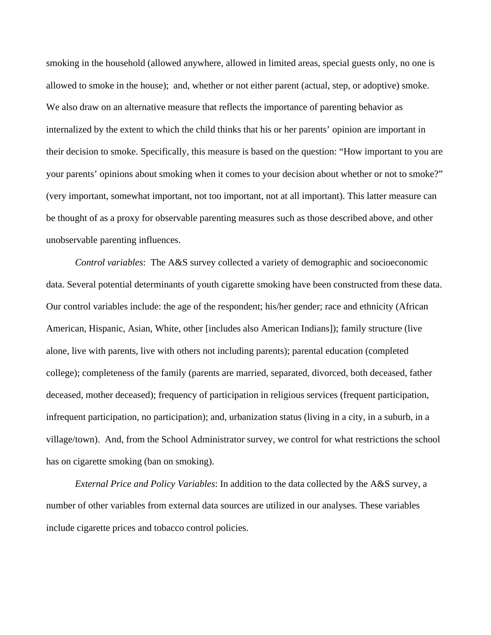smoking in the household (allowed anywhere, allowed in limited areas, special guests only, no one is allowed to smoke in the house); and, whether or not either parent (actual, step, or adoptive) smoke. We also draw on an alternative measure that reflects the importance of parenting behavior as internalized by the extent to which the child thinks that his or her parents' opinion are important in their decision to smoke. Specifically, this measure is based on the question: "How important to you are your parents' opinions about smoking when it comes to your decision about whether or not to smoke?" (very important, somewhat important, not too important, not at all important). This latter measure can be thought of as a proxy for observable parenting measures such as those described above, and other unobservable parenting influences.

*Control variables*: The A&S survey collected a variety of demographic and socioeconomic data. Several potential determinants of youth cigarette smoking have been constructed from these data. Our control variables include: the age of the respondent; his/her gender; race and ethnicity (African American, Hispanic, Asian, White, other [includes also American Indians]); family structure (live alone, live with parents, live with others not including parents); parental education (completed college); completeness of the family (parents are married, separated, divorced, both deceased, father deceased, mother deceased); frequency of participation in religious services (frequent participation, infrequent participation, no participation); and, urbanization status (living in a city, in a suburb, in a village/town). And, from the School Administrator survey, we control for what restrictions the school has on cigarette smoking (ban on smoking).

*External Price and Policy Variables*: In addition to the data collected by the A&S survey, a number of other variables from external data sources are utilized in our analyses. These variables include cigarette prices and tobacco control policies.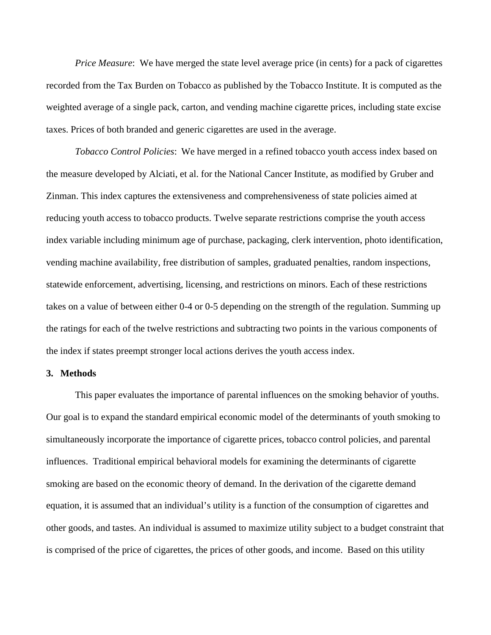*Price Measure*: We have merged the state level average price (in cents) for a pack of cigarettes recorded from the Tax Burden on Tobacco as published by the Tobacco Institute. It is computed as the weighted average of a single pack, carton, and vending machine cigarette prices, including state excise taxes. Prices of both branded and generic cigarettes are used in the average.

*Tobacco Control Policies*: We have merged in a refined tobacco youth access index based on the measure developed by Alciati, et al. for the National Cancer Institute, as modified by Gruber and Zinman. This index captures the extensiveness and comprehensiveness of state policies aimed at reducing youth access to tobacco products. Twelve separate restrictions comprise the youth access index variable including minimum age of purchase, packaging, clerk intervention, photo identification, vending machine availability, free distribution of samples, graduated penalties, random inspections, statewide enforcement, advertising, licensing, and restrictions on minors. Each of these restrictions takes on a value of between either 0-4 or 0-5 depending on the strength of the regulation. Summing up the ratings for each of the twelve restrictions and subtracting two points in the various components of the index if states preempt stronger local actions derives the youth access index.

#### **3. Methods**

This paper evaluates the importance of parental influences on the smoking behavior of youths. Our goal is to expand the standard empirical economic model of the determinants of youth smoking to simultaneously incorporate the importance of cigarette prices, tobacco control policies, and parental influences. Traditional empirical behavioral models for examining the determinants of cigarette smoking are based on the economic theory of demand. In the derivation of the cigarette demand equation, it is assumed that an individual's utility is a function of the consumption of cigarettes and other goods, and tastes. An individual is assumed to maximize utility subject to a budget constraint that is comprised of the price of cigarettes, the prices of other goods, and income. Based on this utility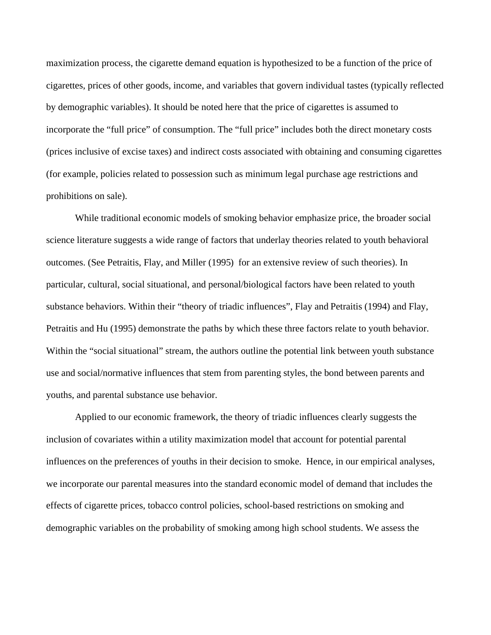maximization process, the cigarette demand equation is hypothesized to be a function of the price of cigarettes, prices of other goods, income, and variables that govern individual tastes (typically reflected by demographic variables). It should be noted here that the price of cigarettes is assumed to incorporate the "full price" of consumption. The "full price" includes both the direct monetary costs (prices inclusive of excise taxes) and indirect costs associated with obtaining and consuming cigarettes (for example, policies related to possession such as minimum legal purchase age restrictions and prohibitions on sale).

While traditional economic models of smoking behavior emphasize price, the broader social science literature suggests a wide range of factors that underlay theories related to youth behavioral outcomes. (See Petraitis, Flay, and Miller (1995) for an extensive review of such theories). In particular, cultural, social situational, and personal/biological factors have been related to youth substance behaviors. Within their "theory of triadic influences", Flay and Petraitis (1994) and Flay, Petraitis and Hu (1995) demonstrate the paths by which these three factors relate to youth behavior. Within the "social situational" stream, the authors outline the potential link between youth substance use and social/normative influences that stem from parenting styles, the bond between parents and youths, and parental substance use behavior.

Applied to our economic framework, the theory of triadic influences clearly suggests the inclusion of covariates within a utility maximization model that account for potential parental influences on the preferences of youths in their decision to smoke. Hence, in our empirical analyses, we incorporate our parental measures into the standard economic model of demand that includes the effects of cigarette prices, tobacco control policies, school-based restrictions on smoking and demographic variables on the probability of smoking among high school students. We assess the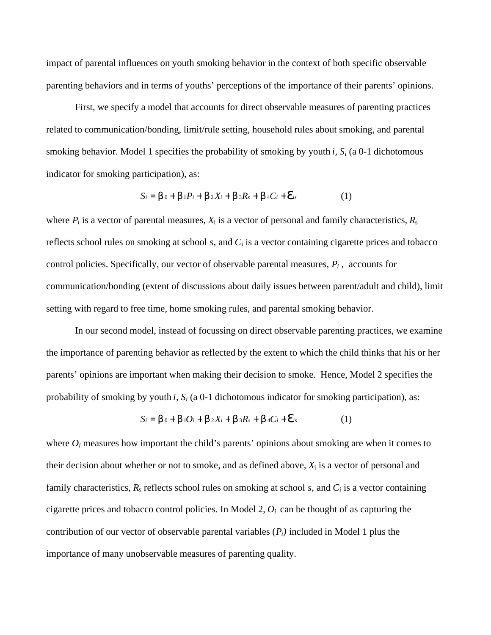impact of parental influences on youth smoking behavior in the context of both specific observable parenting behaviors and in terms of youths' perceptions of the importance of their parents' opinions.

First, we specify a model that accounts for direct observable measures of parenting practices related to communication/bonding, limit/rule setting, household rules about smoking, and parental smoking behavior. Model 1 specifies the probability of smoking by youth *i*,  $S_i$  (a 0-1 dichotomous indicator for smoking participation), as:

$$
S_i = \boldsymbol{b}_0 + \boldsymbol{b}_1 P_i + \boldsymbol{b}_2 X_i + \boldsymbol{b}_3 R_s + \boldsymbol{b}_4 C_i + \boldsymbol{e}_{is}
$$
 (1)

where  $P_i$  is a vector of parental measures,  $X_i$  is a vector of personal and family characteristics,  $R_s$ reflects school rules on smoking at school *s*, and *C*i is a vector containing cigarette prices and tobacco control policies. Specifically, our vector of observable parental measures,  $P_i$ , accounts for communication/bonding (extent of discussions about daily issues between parent/adult and child), limit setting with regard to free time, home smoking rules, and parental smoking behavior.

In our second model, instead of focussing on direct observable parenting practices, we examine the importance of parenting behavior as reflected by the extent to which the child thinks that his or her parents' opinions are important when making their decision to smoke. Hence, Model 2 specifies the probability of smoking by youth *i*,  $S_i$  (a 0-1 dichotomous indicator for smoking participation), as:

$$
S_i = \boldsymbol{b}_0 + \boldsymbol{b}_1 O_i + \boldsymbol{b}_2 X_i + \boldsymbol{b}_3 R_s + \boldsymbol{b}_4 C_i + \boldsymbol{e}_{is}
$$
 (1)

where  $O_i$  measures how important the child's parents' opinions about smoking are when it comes to their decision about whether or not to smoke, and as defined above, *X*i is a vector of personal and family characteristics,  $R_s$  reflects school rules on smoking at school  $s$ , and  $C_i$  is a vector containing cigarette prices and tobacco control policies. In Model 2,  $O_i$  can be thought of as capturing the contribution of our vector of observable parental variables (*Pi)* included in Model 1 plus the importance of many unobservable measures of parenting quality.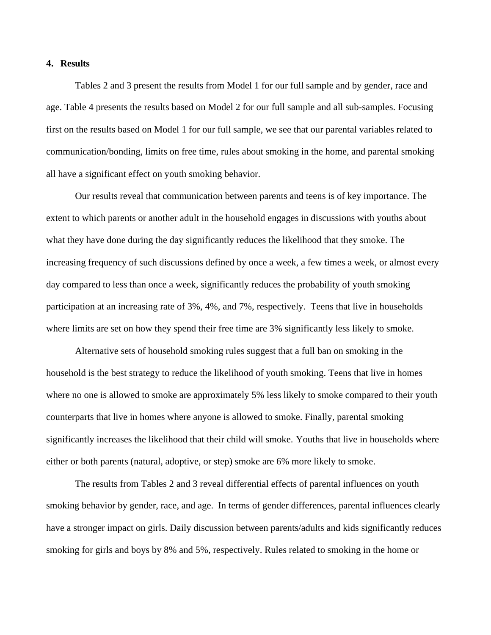### **4. Results**

Tables 2 and 3 present the results from Model 1 for our full sample and by gender, race and age. Table 4 presents the results based on Model 2 for our full sample and all sub-samples. Focusing first on the results based on Model 1 for our full sample, we see that our parental variables related to communication/bonding, limits on free time, rules about smoking in the home, and parental smoking all have a significant effect on youth smoking behavior.

Our results reveal that communication between parents and teens is of key importance. The extent to which parents or another adult in the household engages in discussions with youths about what they have done during the day significantly reduces the likelihood that they smoke. The increasing frequency of such discussions defined by once a week, a few times a week, or almost every day compared to less than once a week, significantly reduces the probability of youth smoking participation at an increasing rate of 3%, 4%, and 7%, respectively. Teens that live in households where limits are set on how they spend their free time are 3% significantly less likely to smoke.

Alternative sets of household smoking rules suggest that a full ban on smoking in the household is the best strategy to reduce the likelihood of youth smoking. Teens that live in homes where no one is allowed to smoke are approximately 5% less likely to smoke compared to their youth counterparts that live in homes where anyone is allowed to smoke. Finally, parental smoking significantly increases the likelihood that their child will smoke. Youths that live in households where either or both parents (natural, adoptive, or step) smoke are 6% more likely to smoke.

The results from Tables 2 and 3 reveal differential effects of parental influences on youth smoking behavior by gender, race, and age. In terms of gender differences, parental influences clearly have a stronger impact on girls. Daily discussion between parents/adults and kids significantly reduces smoking for girls and boys by 8% and 5%, respectively. Rules related to smoking in the home or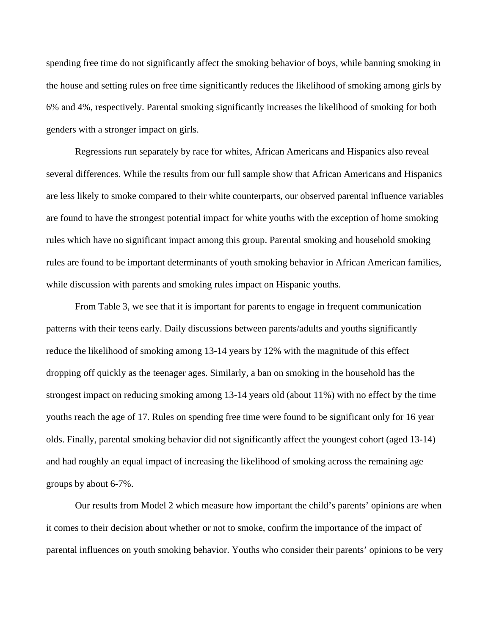spending free time do not significantly affect the smoking behavior of boys, while banning smoking in the house and setting rules on free time significantly reduces the likelihood of smoking among girls by 6% and 4%, respectively. Parental smoking significantly increases the likelihood of smoking for both genders with a stronger impact on girls.

Regressions run separately by race for whites, African Americans and Hispanics also reveal several differences. While the results from our full sample show that African Americans and Hispanics are less likely to smoke compared to their white counterparts, our observed parental influence variables are found to have the strongest potential impact for white youths with the exception of home smoking rules which have no significant impact among this group. Parental smoking and household smoking rules are found to be important determinants of youth smoking behavior in African American families, while discussion with parents and smoking rules impact on Hispanic youths.

From Table 3, we see that it is important for parents to engage in frequent communication patterns with their teens early. Daily discussions between parents/adults and youths significantly reduce the likelihood of smoking among 13-14 years by 12% with the magnitude of this effect dropping off quickly as the teenager ages. Similarly, a ban on smoking in the household has the strongest impact on reducing smoking among 13-14 years old (about 11%) with no effect by the time youths reach the age of 17. Rules on spending free time were found to be significant only for 16 year olds. Finally, parental smoking behavior did not significantly affect the youngest cohort (aged 13-14) and had roughly an equal impact of increasing the likelihood of smoking across the remaining age groups by about 6-7%.

Our results from Model 2 which measure how important the child's parents' opinions are when it comes to their decision about whether or not to smoke, confirm the importance of the impact of parental influences on youth smoking behavior. Youths who consider their parents' opinions to be very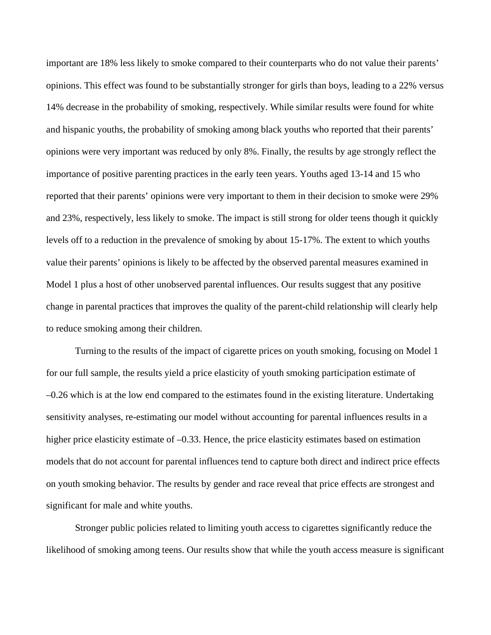important are 18% less likely to smoke compared to their counterparts who do not value their parents' opinions. This effect was found to be substantially stronger for girls than boys, leading to a 22% versus 14% decrease in the probability of smoking, respectively. While similar results were found for white and hispanic youths, the probability of smoking among black youths who reported that their parents' opinions were very important was reduced by only 8%. Finally, the results by age strongly reflect the importance of positive parenting practices in the early teen years. Youths aged 13-14 and 15 who reported that their parents' opinions were very important to them in their decision to smoke were 29% and 23%, respectively, less likely to smoke. The impact is still strong for older teens though it quickly levels off to a reduction in the prevalence of smoking by about 15-17%. The extent to which youths value their parents' opinions is likely to be affected by the observed parental measures examined in Model 1 plus a host of other unobserved parental influences. Our results suggest that any positive change in parental practices that improves the quality of the parent-child relationship will clearly help to reduce smoking among their children.

Turning to the results of the impact of cigarette prices on youth smoking, focusing on Model 1 for our full sample, the results yield a price elasticity of youth smoking participation estimate of –0.26 which is at the low end compared to the estimates found in the existing literature. Undertaking sensitivity analyses, re-estimating our model without accounting for parental influences results in a higher price elasticity estimate of  $-0.33$ . Hence, the price elasticity estimates based on estimation models that do not account for parental influences tend to capture both direct and indirect price effects on youth smoking behavior. The results by gender and race reveal that price effects are strongest and significant for male and white youths.

Stronger public policies related to limiting youth access to cigarettes significantly reduce the likelihood of smoking among teens. Our results show that while the youth access measure is significant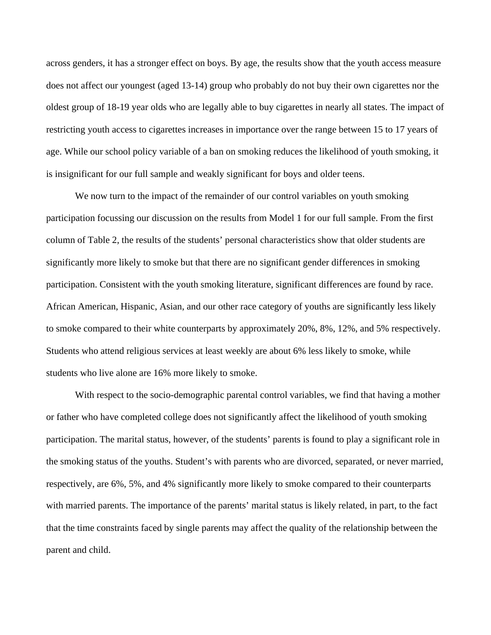across genders, it has a stronger effect on boys. By age, the results show that the youth access measure does not affect our youngest (aged 13-14) group who probably do not buy their own cigarettes nor the oldest group of 18-19 year olds who are legally able to buy cigarettes in nearly all states. The impact of restricting youth access to cigarettes increases in importance over the range between 15 to 17 years of age. While our school policy variable of a ban on smoking reduces the likelihood of youth smoking, it is insignificant for our full sample and weakly significant for boys and older teens.

We now turn to the impact of the remainder of our control variables on youth smoking participation focussing our discussion on the results from Model 1 for our full sample. From the first column of Table 2, the results of the students' personal characteristics show that older students are significantly more likely to smoke but that there are no significant gender differences in smoking participation. Consistent with the youth smoking literature, significant differences are found by race. African American, Hispanic, Asian, and our other race category of youths are significantly less likely to smoke compared to their white counterparts by approximately 20%, 8%, 12%, and 5% respectively. Students who attend religious services at least weekly are about 6% less likely to smoke, while students who live alone are 16% more likely to smoke.

With respect to the socio-demographic parental control variables, we find that having a mother or father who have completed college does not significantly affect the likelihood of youth smoking participation. The marital status, however, of the students' parents is found to play a significant role in the smoking status of the youths. Student's with parents who are divorced, separated, or never married, respectively, are 6%, 5%, and 4% significantly more likely to smoke compared to their counterparts with married parents. The importance of the parents' marital status is likely related, in part, to the fact that the time constraints faced by single parents may affect the quality of the relationship between the parent and child.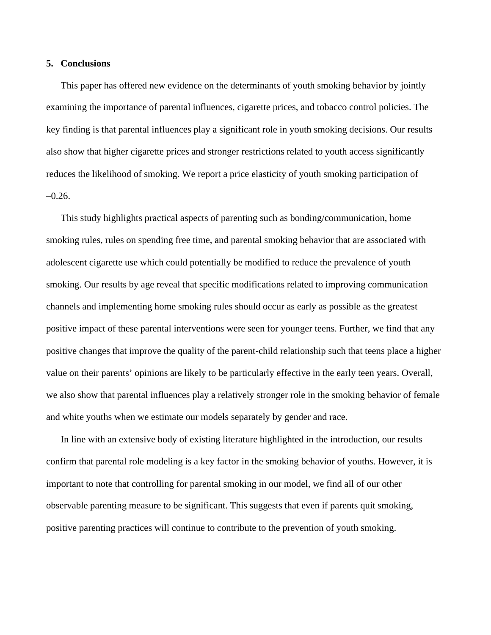#### **5. Conclusions**

This paper has offered new evidence on the determinants of youth smoking behavior by jointly examining the importance of parental influences, cigarette prices, and tobacco control policies. The key finding is that parental influences play a significant role in youth smoking decisions. Our results also show that higher cigarette prices and stronger restrictions related to youth access significantly reduces the likelihood of smoking. We report a price elasticity of youth smoking participation of  $-0.26$ .

This study highlights practical aspects of parenting such as bonding/communication, home smoking rules, rules on spending free time, and parental smoking behavior that are associated with adolescent cigarette use which could potentially be modified to reduce the prevalence of youth smoking. Our results by age reveal that specific modifications related to improving communication channels and implementing home smoking rules should occur as early as possible as the greatest positive impact of these parental interventions were seen for younger teens. Further, we find that any positive changes that improve the quality of the parent-child relationship such that teens place a higher value on their parents' opinions are likely to be particularly effective in the early teen years. Overall, we also show that parental influences play a relatively stronger role in the smoking behavior of female and white youths when we estimate our models separately by gender and race.

In line with an extensive body of existing literature highlighted in the introduction, our results confirm that parental role modeling is a key factor in the smoking behavior of youths. However, it is important to note that controlling for parental smoking in our model, we find all of our other observable parenting measure to be significant. This suggests that even if parents quit smoking, positive parenting practices will continue to contribute to the prevention of youth smoking.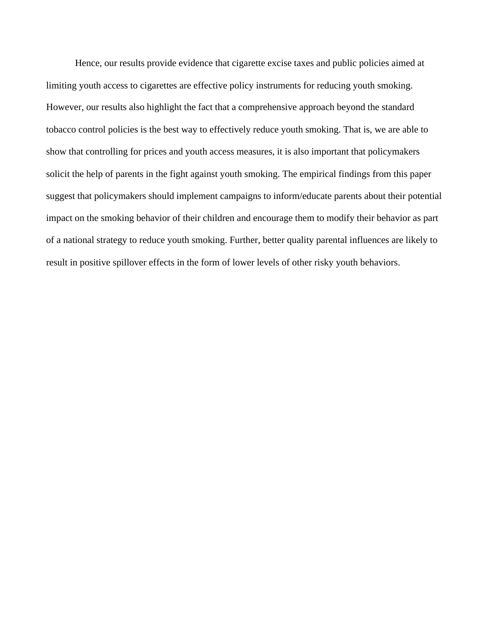Hence, our results provide evidence that cigarette excise taxes and public policies aimed at limiting youth access to cigarettes are effective policy instruments for reducing youth smoking. However, our results also highlight the fact that a comprehensive approach beyond the standard tobacco control policies is the best way to effectively reduce youth smoking. That is, we are able to show that controlling for prices and youth access measures, it is also important that policymakers solicit the help of parents in the fight against youth smoking. The empirical findings from this paper suggest that policymakers should implement campaigns to inform/educate parents about their potential impact on the smoking behavior of their children and encourage them to modify their behavior as part of a national strategy to reduce youth smoking. Further, better quality parental influences are likely to result in positive spillover effects in the form of lower levels of other risky youth behaviors.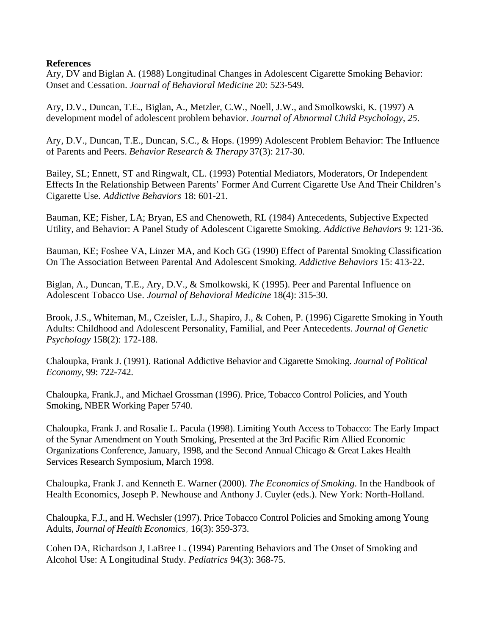## **References**

Ary, DV and Biglan A. (1988) Longitudinal Changes in Adolescent Cigarette Smoking Behavior: Onset and Cessation. *Journal of Behavioral Medicine* 20: 523-549.

Ary, D.V., Duncan, T.E., Biglan, A., Metzler, C.W., Noell, J.W., and Smolkowski, K. (1997) A development model of adolescent problem behavior. *Journal of Abnormal Child Psychology, 25.*

Ary, D.V., Duncan, T.E., Duncan, S.C., & Hops. (1999) Adolescent Problem Behavior: The Influence of Parents and Peers. *Behavior Research & Therapy* 37(3): 217-30.

Bailey, SL; Ennett, ST and Ringwalt, CL. (1993) Potential Mediators, Moderators, Or Independent Effects In the Relationship Between Parents' Former And Current Cigarette Use And Their Children's Cigarette Use. *Addictive Behaviors* 18: 601-21.

Bauman, KE; Fisher, LA; Bryan, ES and Chenoweth, RL (1984) Antecedents, Subjective Expected Utility, and Behavior: A Panel Study of Adolescent Cigarette Smoking. *Addictive Behaviors* 9: 121-36.

Bauman, KE; Foshee VA, Linzer MA, and Koch GG (1990) Effect of Parental Smoking Classification On The Association Between Parental And Adolescent Smoking. *Addictive Behaviors* 15: 413-22.

Biglan, A., Duncan, T.E., Ary, D.V., & Smolkowski, K (1995). Peer and Parental Influence on Adolescent Tobacco Use. *Journal of Behavioral Medicine* 18(4): 315-30.

Brook, J.S., Whiteman, M., Czeisler, L.J., Shapiro, J., & Cohen, P. (1996) Cigarette Smoking in Youth Adults: Childhood and Adolescent Personality, Familial, and Peer Antecedents. *Journal of Genetic Psychology* 158(2): 172-188.

Chaloupka, Frank J. (1991). Rational Addictive Behavior and Cigarette Smoking. *Journal of Political Economy*, 99: 722-742.

Chaloupka, Frank.J., and Michael Grossman (1996). Price, Tobacco Control Policies, and Youth Smoking, NBER Working Paper 5740.

Chaloupka, Frank J. and Rosalie L. Pacula (1998). Limiting Youth Access to Tobacco: The Early Impact of the Synar Amendment on Youth Smoking, Presented at the 3rd Pacific Rim Allied Economic Organizations Conference, January, 1998, and the Second Annual Chicago & Great Lakes Health Services Research Symposium, March 1998.

Chaloupka, Frank J. and Kenneth E. Warner (2000). *The Economics of Smoking.* In the Handbook of Health Economics, Joseph P. Newhouse and Anthony J. Cuyler (eds.). New York: North-Holland.

Chaloupka, F.J., and H. Wechsler (1997). Price Tobacco Control Policies and Smoking among Young Adults, *Journal of Health Economics*, 16(3): 359-373.

Cohen DA, Richardson J, LaBree L. (1994) Parenting Behaviors and The Onset of Smoking and Alcohol Use: A Longitudinal Study. *Pediatrics* 94(3): 368-75.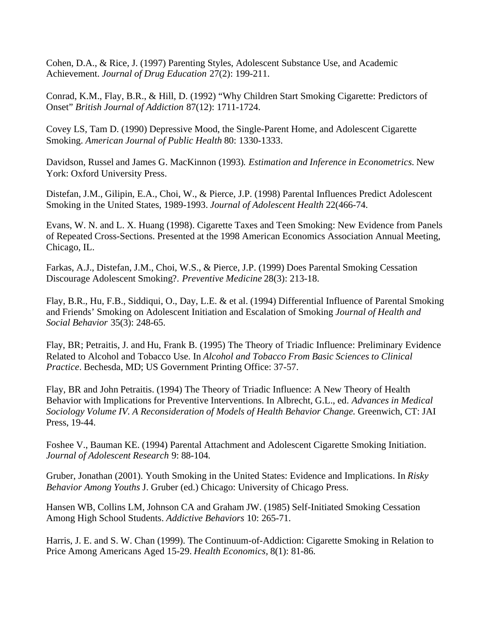Cohen, D.A., & Rice, J. (1997) Parenting Styles, Adolescent Substance Use, and Academic Achievement. *Journal of Drug Education* 27(2): 199-211.

Conrad, K.M., Flay, B.R., & Hill, D. (1992) "Why Children Start Smoking Cigarette: Predictors of Onset" *British Journal of Addiction* 87(12): 1711-1724.

Covey LS, Tam D. (1990) Depressive Mood, the Single-Parent Home, and Adolescent Cigarette Smoking. *American Journal of Public Health* 80: 1330-1333.

Davidson, Russel and James G. MacKinnon (1993)*. Estimation and Inference in Econometrics.* New York: Oxford University Press.

Distefan, J.M., Gilipin, E.A., Choi, W., & Pierce, J.P. (1998) Parental Influences Predict Adolescent Smoking in the United States, 1989-1993. *Journal of Adolescent Health* 22(466-74.

Evans, W. N. and L. X. Huang (1998). Cigarette Taxes and Teen Smoking: New Evidence from Panels of Repeated Cross-Sections. Presented at the 1998 American Economics Association Annual Meeting, Chicago, IL.

Farkas, A.J., Distefan, J.M., Choi, W.S., & Pierce, J.P. (1999) Does Parental Smoking Cessation Discourage Adolescent Smoking?. *Preventive Medicine* 28(3): 213-18.

Flay, B.R., Hu, F.B., Siddiqui, O., Day, L.E. & et al. (1994) Differential Influence of Parental Smoking and Friends' Smoking on Adolescent Initiation and Escalation of Smoking *Journal of Health and Social Behavior* 35(3): 248-65.

Flay, BR; Petraitis, J. and Hu, Frank B. (1995) The Theory of Triadic Influence: Preliminary Evidence Related to Alcohol and Tobacco Use. In *Alcohol and Tobacco From Basic Sciences to Clinical Practice*. Bechesda, MD; US Government Printing Office: 37-57.

Flay, BR and John Petraitis. (1994) The Theory of Triadic Influence: A New Theory of Health Behavior with Implications for Preventive Interventions. In Albrecht, G.L., ed. *Advances in Medical Sociology Volume IV. A Reconsideration of Models of Health Behavior Change.* Greenwich, CT: JAI Press, 19-44.

Foshee V., Bauman KE. (1994) Parental Attachment and Adolescent Cigarette Smoking Initiation. *Journal of Adolescent Research* 9: 88-104.

Gruber, Jonathan (2001). Youth Smoking in the United States: Evidence and Implications. In *Risky Behavior Among Youths* J. Gruber (ed.) Chicago: University of Chicago Press.

Hansen WB, Collins LM, Johnson CA and Graham JW. (1985) Self-Initiated Smoking Cessation Among High School Students. *Addictive Behaviors* 10: 265-71.

Harris, J. E. and S. W. Chan (1999). The Continuum-of-Addiction: Cigarette Smoking in Relation to Price Among Americans Aged 15-29. *Health Economics,* 8(1): 81-86.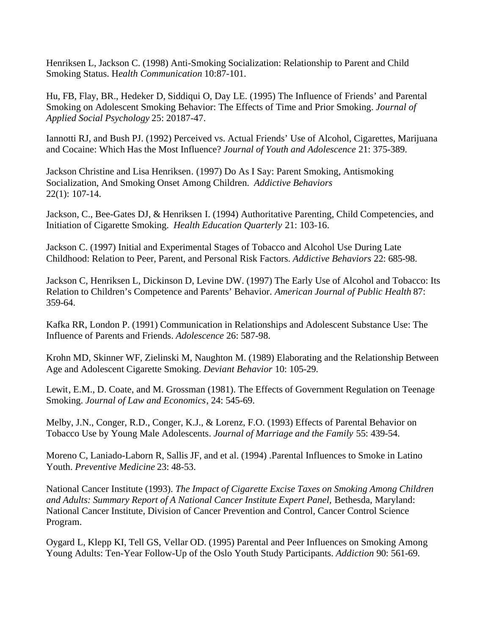Henriksen L, Jackson C. (1998) Anti-Smoking Socialization: Relationship to Parent and Child Smoking Status. H*ealth Communication* 10:87-101.

Hu, FB, Flay, BR., Hedeker D, Siddiqui O, Day LE. (1995) The Influence of Friends' and Parental Smoking on Adolescent Smoking Behavior: The Effects of Time and Prior Smoking. *Journal of Applied Social Psychology* 25: 20187-47.

Iannotti RJ, and Bush PJ. (1992) Perceived vs. Actual Friends' Use of Alcohol, Cigarettes, Marijuana and Cocaine: Which Has the Most Influence? *Journal of Youth and Adolescence* 21: 375-389.

Jackson Christine and Lisa Henriksen. (1997) Do As I Say: Parent Smoking, Antismoking Socialization, And Smoking Onset Among Children. *Addictive Behaviors* 22(1): 107-14.

Jackson, C., Bee-Gates DJ, & Henriksen I. (1994) Authoritative Parenting, Child Competencies, and Initiation of Cigarette Smoking. *Health Education Quarterly* 21: 103-16.

Jackson C. (1997) Initial and Experimental Stages of Tobacco and Alcohol Use During Late Childhood: Relation to Peer, Parent, and Personal Risk Factors. *Addictive Behaviors* 22: 685-98.

Jackson C, Henriksen L, Dickinson D, Levine DW. (1997) The Early Use of Alcohol and Tobacco: Its Relation to Children's Competence and Parents' Behavior. *American Journal of Public Health* 87: 359-64.

Kafka RR, London P. (1991) Communication in Relationships and Adolescent Substance Use: The Influence of Parents and Friends. *Adolescence* 26: 587-98.

Krohn MD, Skinner WF, Zielinski M, Naughton M. (1989) Elaborating and the Relationship Between Age and Adolescent Cigarette Smoking. *Deviant Behavior* 10: 105-29.

Lewit, E.M., D. Coate, and M. Grossman (1981). The Effects of Government Regulation on Teenage Smoking. *Journal of Law and Economics*, 24: 545-69.

Melby, J.N., Conger, R.D., Conger, K.J., & Lorenz, F.O. (1993) Effects of Parental Behavior on Tobacco Use by Young Male Adolescents. *Journal of Marriage and the Family* 55: 439-54.

Moreno C, Laniado-Laborn R, Sallis JF, and et al. (1994) .Parental Influences to Smoke in Latino Youth. *Preventive Medicine* 23: 48-53.

National Cancer Institute (1993). *The Impact of Cigarette Excise Taxes on Smoking Among Children and Adults: Summary Report of A National Cancer Institute Expert Panel,* Bethesda, Maryland: National Cancer Institute, Division of Cancer Prevention and Control, Cancer Control Science Program.

Oygard L, Klepp KI, Tell GS, Vellar OD. (1995) Parental and Peer Influences on Smoking Among Young Adults: Ten-Year Follow-Up of the Oslo Youth Study Participants. *Addiction* 90: 561-69.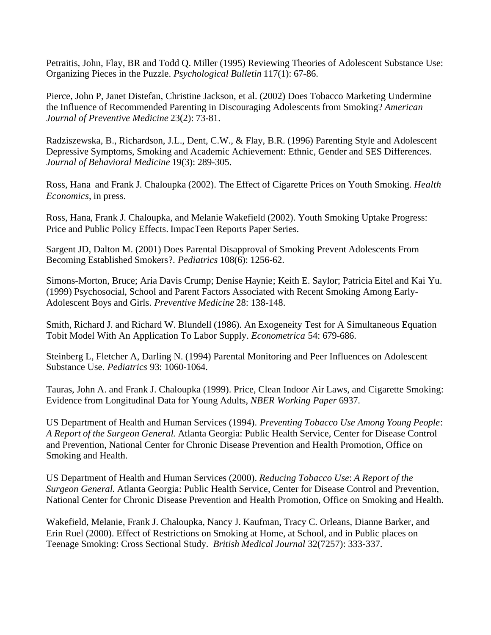Petraitis, John, Flay, BR and Todd Q. Miller (1995) Reviewing Theories of Adolescent Substance Use: Organizing Pieces in the Puzzle. *Psychological Bulletin* 117(1): 67-86.

Pierce, John P, Janet Distefan, Christine Jackson, et al. (2002) Does Tobacco Marketing Undermine the Influence of Recommended Parenting in Discouraging Adolescents from Smoking? *American Journal of Preventive Medicine* 23(2): 73-81.

Radziszewska, B., Richardson, J.L., Dent, C.W., & Flay, B.R. (1996) Parenting Style and Adolescent Depressive Symptoms, Smoking and Academic Achievement: Ethnic, Gender and SES Differences. *Journal of Behavioral Medicine* 19(3): 289-305.

Ross, Hana and Frank J. Chaloupka (2002). The Effect of Cigarette Prices on Youth Smoking. *Health Economics*, in press.

Ross, Hana, Frank J. Chaloupka, and Melanie Wakefield (2002). Youth Smoking Uptake Progress: Price and Public Policy Effects. ImpacTeen Reports Paper Series.

Sargent JD, Dalton M. (2001) Does Parental Disapproval of Smoking Prevent Adolescents From Becoming Established Smokers?. *Pediatrics* 108(6): 1256-62.

Simons-Morton, Bruce; Aria Davis Crump; Denise Haynie; Keith E. Saylor; Patricia Eitel and Kai Yu. (1999) Psychosocial, School and Parent Factors Associated with Recent Smoking Among Early-Adolescent Boys and Girls. *Preventive Medicine* 28: 138-148.

Smith, Richard J. and Richard W. Blundell (1986). An Exogeneity Test for A Simultaneous Equation Tobit Model With An Application To Labor Supply. *Econometrica* 54: 679-686.

Steinberg L, Fletcher A, Darling N. (1994) Parental Monitoring and Peer Influences on Adolescent Substance Use. *Pediatrics* 93: 1060-1064.

Tauras, John A. and Frank J. Chaloupka (1999). Price, Clean Indoor Air Laws, and Cigarette Smoking: Evidence from Longitudinal Data for Young Adults, *NBER Working Paper* 6937.

US Department of Health and Human Services (1994). *Preventing Tobacco Use Among Young People*: *A Report of the Surgeon General*. Atlanta Georgia: Public Health Service, Center for Disease Control and Prevention, National Center for Chronic Disease Prevention and Health Promotion, Office on Smoking and Health.

US Department of Health and Human Services (2000). *Reducing Tobacco Use*: *A Report of the Surgeon General*. Atlanta Georgia: Public Health Service, Center for Disease Control and Prevention, National Center for Chronic Disease Prevention and Health Promotion, Office on Smoking and Health.

Wakefield, Melanie, Frank J. Chaloupka, Nancy J. Kaufman, Tracy C. Orleans, Dianne Barker, and Erin Ruel (2000). Effect of Restrictions on Smoking at Home, at School, and in Public places on Teenage Smoking: Cross Sectional Study*. British Medical Journal* 32(7257): 333-337.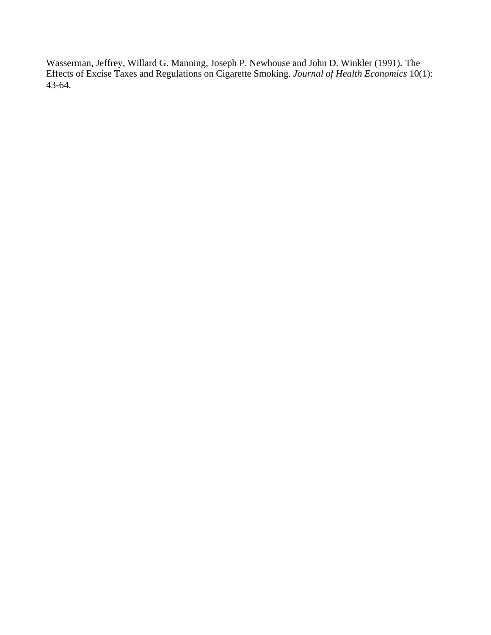Wasserman, Jeffrey, Willard G. Manning, Joseph P. Newhouse and John D. Winkler (1991). The Effects of Excise Taxes and Regulations on Cigarette Smoking. *Journal of Health Economics* 10(1): 43-64.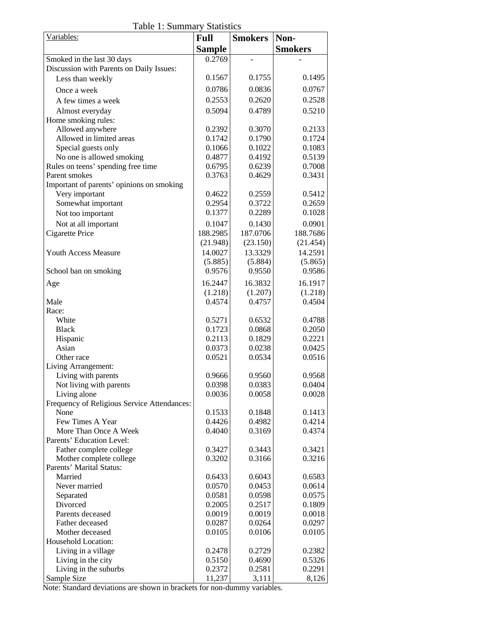Table 1: Summary Statistics

| Variables:                                  | <b>Full</b>       | <b>Smokers</b>    | Non-              |
|---------------------------------------------|-------------------|-------------------|-------------------|
|                                             | <b>Sample</b>     |                   | <b>Smokers</b>    |
| Smoked in the last 30 days                  | 0.2769            |                   |                   |
| Discussion with Parents on Daily Issues:    |                   |                   |                   |
| Less than weekly                            | 0.1567            | 0.1755            | 0.1495            |
| Once a week                                 | 0.0786            | 0.0836            | 0.0767            |
| A few times a week                          | 0.2553            | 0.2620            | 0.2528            |
|                                             | 0.5094            | 0.4789            | 0.5210            |
| Almost everyday<br>Home smoking rules:      |                   |                   |                   |
| Allowed anywhere                            | 0.2392            | 0.3070            | 0.2133            |
| Allowed in limited areas                    | 0.1742            | 0.1790            | 0.1724            |
| Special guests only                         | 0.1066            | 0.1022            | 0.1083            |
| No one is allowed smoking                   | 0.4877            | 0.4192            | 0.5139            |
| Rules on teens' spending free time          | 0.6795            | 0.6239            | 0.7008            |
| Parent smokes                               | 0.3763            | 0.4629            | 0.3431            |
| Important of parents' opinions on smoking   |                   |                   |                   |
| Very important                              | 0.4622            | 0.2559            | 0.5412            |
| Somewhat important                          | 0.2954            | 0.3722            | 0.2659            |
| Not too important                           | 0.1377            | 0.2289            | 0.1028            |
| Not at all important                        | 0.1047            | 0.1430            | 0.0901            |
| Cigarette Price                             | 188.2985          | 187.0706          | 188.7686          |
|                                             | (21.948)          | (23.150)          | (21.454)          |
| Youth Access Measure                        | 14.0027           | 13.3329           | 14.2591           |
|                                             | (5.885)           | (5.884)           | (5.865)           |
| School ban on smoking                       | 0.9576            | 0.9550            | 0.9586            |
|                                             |                   |                   |                   |
| Age                                         | 16.2447           | 16.3832           | 16.1917           |
| Male                                        | (1.218)<br>0.4574 | (1.207)<br>0.4757 | (1.218)<br>0.4504 |
| Race:                                       |                   |                   |                   |
| White                                       | 0.5271            | 0.6532            | 0.4788            |
| <b>Black</b>                                | 0.1723            | 0.0868            | 0.2050            |
| Hispanic                                    | 0.2113            | 0.1829            | 0.2221            |
| Asian                                       | 0.0373            | 0.0238            | 0.0425            |
| Other race                                  | 0.0521            | 0.0534            | 0.0516            |
| Living Arrangement:                         |                   |                   |                   |
| Living with parents                         | 0.9666            | 0.9560            | 0.9568            |
| Not living with parents                     | 0.0398            | 0.0383            | 0.0404            |
| Living alone                                | 0.0036            | 0.0058            | 0.0028            |
| Frequency of Religious Service Attendances: |                   |                   |                   |
| None                                        | 0.1533            | 0.1848            | 0.1413            |
| Few Times A Year                            | 0.4426            | 0.4982            | 0.4214            |
| More Than Once A Week                       | 0.4040            | 0.3169            | 0.4374            |
| Parents' Education Level:                   |                   |                   |                   |
| Father complete college                     | 0.3427            | 0.3443            | 0.3421            |
| Mother complete college                     | 0.3202            | 0.3166            | 0.3216            |
| Parents' Marital Status:                    |                   |                   |                   |
| Married                                     | 0.6433            | 0.6043            | 0.6583            |
| Never married                               | 0.0570            | 0.0453            | 0.0614            |
| Separated                                   | 0.0581            | 0.0598            | 0.0575            |
| Divorced                                    | 0.2005            | 0.2517            | 0.1809            |
| Parents deceased                            | 0.0019            | 0.0019            | 0.0018            |
| Father deceased                             | 0.0287            | 0.0264            | 0.0297            |
| Mother deceased                             | 0.0105            | 0.0106            | 0.0105            |
| Household Location:                         |                   |                   |                   |
| Living in a village                         | 0.2478            | 0.2729            | 0.2382            |
| Living in the city                          | 0.5150            | 0.4690            | 0.5326            |
| Living in the suburbs                       | 0.2372            | 0.2581            | 0.2291            |
| Sample Size                                 | 11,237            | 3,111             | 8,126             |

Note: Standard deviations are shown in brackets for non-dummy variables.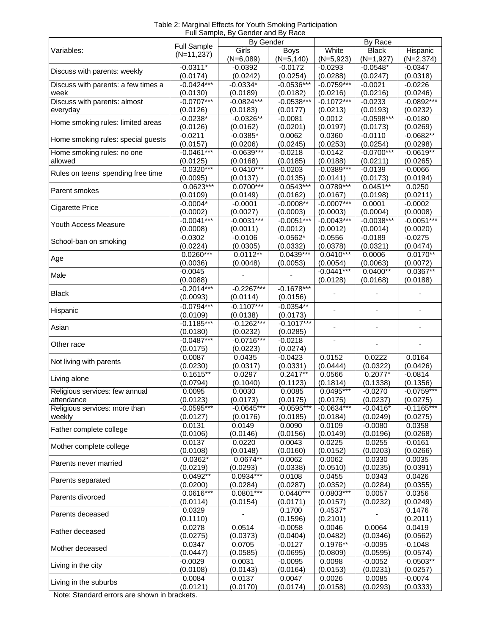| Table 2: Marginal Effects for Youth Smoking Participation |
|-----------------------------------------------------------|
| Full Sample, By Gender and By Race                        |

|                                     |                         | By Gender              |                         |                          |                         |                        |
|-------------------------------------|-------------------------|------------------------|-------------------------|--------------------------|-------------------------|------------------------|
| Variables:                          | <b>Full Sample</b>      | Girls                  | <b>Boys</b>             | White                    | By Race<br><b>Black</b> | Hispanic               |
|                                     | $(N=11,237)$            | $(N=6,089)$            | $(N=5, 140)$            | $(N=5,923)$              | $(N=1,927)$             | $(N=2,374)$            |
|                                     | $-0.0311*$              | $-0.0392$              | $-0.0172$               | $-0.0293$                | $-0.0548*$              | $-0.0347$              |
| Discuss with parents: weekly        | (0.0174)                | (0.0242)               | (0.0254)                | (0.0288)                 | (0.0247)                | (0.0318)               |
| Discuss with parents: a few times a | $-0.0424***$            | $-0.0334*$             | $-0.0536***$            | $-0.0759***$             | $-0.0021$               | $-0.0226$              |
| week                                | (0.0130)                | (0.0189)               | (0.0182)                | (0.0216)                 | (0.0216)                | (0.0246)               |
| Discuss with parents: almost        | $-0.0707***$            | $-0.0824***$           | $-0.0538***$            | $-0.1072***$             | $-0.0233$               | $-0.0892***$           |
| everyday                            | (0.0126)                | (0.0183)               | (0.0177)                | (0.0213)                 | (0.0193)                | (0.0232)               |
| Home smoking rules: limited areas   | $-0.0238*$              | $-0.0326**$            | $-0.0081$               | 0.0012                   | $-0.0598***$            | $-0.0180$              |
|                                     | (0.0126)                | (0.0162)               | (0.0201)                | (0.0197)                 | (0.0173)                | (0.0269)               |
| Home smoking rules: special guests  | $-0.0211$               | $-0.0385*$             | 0.0062                  | 0.0360                   | $-0.0110$               | $-0.0682**$            |
|                                     | (0.0157)                | (0.0206)               | (0.0245)                | (0.0253)                 | (0.0254)                | (0.0298)               |
| Home smoking rules: no one          | $-0.0461***$            | $-0.0639***$           | $-0.0218$               | $-0.0142$                | $-0.0700***$            | $-0.0619**$            |
| allowed                             | (0.0125)                | (0.0168)               | (0.0185)                | (0.0188)                 | (0.0211)                | (0.0265)               |
| Rules on teens' spending free time  | $-0.0320***$            | $-0.0410***$           | $-0.0203$               | $-0.0389***$             | $-0.0139$               | $-0.0066$              |
|                                     | (0.0095)                | (0.0137)               | (0.0135)                | (0.0141)                 | (0.0173)                | (0.0194)               |
| Parent smokes                       | $0.0623***$             | $0.0700***$            | $0.0543***$             | $0.0789***$              | $0.0451**$              | 0.0250                 |
|                                     | (0.0109)                | (0.0149)               | (0.0162)                | (0.0167)                 | (0.0198)                | (0.0211)               |
| <b>Cigarette Price</b>              | $-0.0004*$              | $-0.0001$              | $-0.0008**$             | $-0.0007***$             | 0.0001                  | $-0.0002$              |
|                                     | (0.0002)                | (0.0027)               | (0.0003)                | (0.0003)                 | (0.0004)                | (0.0008)               |
| Youth Access Measure                | $-0.0041***$            | $-0.0031***$           | $-0.0051***$            | $-0.0043***$             | $-0.0038***$            | $-0.0051***$           |
|                                     | (0.0008)                | (0.0011)               | (0.0012)                | (0.0012)                 | (0.0014)                | (0.0020)               |
| School-ban on smoking               | $-0.0302$               | $-0.0106$              | $-0.0562*$              | $-0.0556$                | $-0.0189$               | $-0.0275$              |
|                                     | (0.0224)<br>$0.0260***$ | (0.0305)<br>$0.0112**$ | (0.0332)<br>$0.0439***$ | (0.0378)<br>$0.0410***$  | (0.0321)<br>0.0006      | (0.0474)<br>$0.0170**$ |
| Age                                 | (0.0036)                | (0.0048)               | (0.0053)                |                          | (0.0063)                | (0.0072)               |
|                                     | $-0.0045$               |                        |                         | (0.0054)<br>$-0.0441***$ | $0.0400**$              | $0.0367**$             |
| Male                                | (0.0088)                |                        |                         | (0.0128)                 | (0.0168)                | (0.0188)               |
|                                     | $-0.2014***$            | $-0.2267***$           | $-0.1678***$            |                          |                         |                        |
| <b>Black</b>                        | (0.0093)                | (0.0114)               | (0.0156)                |                          |                         |                        |
|                                     | $-0.0794***$            | $-0.1107***$           | $-0.0354**$             |                          |                         |                        |
| Hispanic                            | (0.0109)                | (0.0138)               | (0.0173)                |                          |                         |                        |
|                                     | $-0.1185***$            | $-0.1262***$           | $-0.1017***$            |                          |                         |                        |
| Asian                               | (0.0180)                | (0.0232)               | (0.0285)                |                          |                         |                        |
|                                     | $-0.0487***$            | $-0.0716***$           | $-0.0218$               | ä,                       |                         |                        |
| Other race                          | (0.0175)                | (0.0223)               | (0.0274)                |                          |                         |                        |
|                                     | 0.0087                  | 0.0435                 | $-0.0423$               | 0.0152                   | 0.0222                  | 0.0164                 |
| Not living with parents             | (0.0230)                | (0.0317)               | (0.0331)                | (0.0444)                 | (0.0322)                | (0.0426)               |
| Living alone                        | $0.1615**$              | 0.0297                 | $0.2417**$              | 0.0566                   | $0.2077*$               | $-0.0814$              |
|                                     | (0.0794)                | (0.1040)               | (0.1123)                | (0.1814)                 | (0.1338)                | (0.1356)               |
| Religious services: few annual      | 0.0095                  | 0.0030                 | 0.0085                  | $0.0495***$              | $-0.0270$               | $-0.0759***$           |
| attendance                          | (0.0123)                | (0.0173)               | (0.0175)                | (0.0175)                 | (0.0237)                | (0.0275)               |
| Religious services: more than       | $-0.0595***$            | $-0.0645***$           | $-0.0595***$            | $-0.0634***$             | $-0.0416*$              | $-0.1165***$           |
| weekly                              | (0.0127)                | (0.0176)               | (0.0185)                | (0.0184)                 | (0.0249)                | (0.0275)               |
| Father complete college             | 0.0131                  | 0.0149                 | 0.0090                  | 0.0109                   | $-0.0080$               | 0.0358                 |
|                                     | (0.0106)                | (0.0146)               | (0.0156)                | (0.0149)                 | (0.0196)                | (0.0268)               |
| Mother complete college             | 0.0137                  | 0.0220                 | 0.0043                  | 0.0225                   | 0.0255                  | $-0.0161$              |
|                                     | (0.0108)<br>$0.0362*$   | (0.0148)               | (0.0160)                | (0.0152)                 | (0.0203)                | (0.0266)               |
| Parents never married               | (0.0219)                | $0.0674**$<br>(0.0293) | 0.0062<br>(0.0338)      | 0.0062<br>(0.0510)       | 0.0330<br>(0.0235)      | 0.0035<br>(0.0391)     |
|                                     | $0.0492**$              | $0.0934***$            | 0.0108                  | 0.0455                   | 0.0343                  | 0.0426                 |
| Parents separated                   | (0.0200)                | (0.0284)               | (0.0287)                | (0.0352)                 | (0.0284)                | (0.0355)               |
|                                     | $0.0616***$             | $0.0801***$            | $0.0440***$             | $0.0803***$              | 0.0057                  | 0.0356                 |
| Parents divorced                    | (0.0114)                | (0.0154)               | (0.0171)                | (0.0157)                 | (0.0232)                | (0.0249)               |
|                                     | 0.0329                  |                        | 0.1700                  | $0.4537*$                |                         | 0.1476                 |
| Parents deceased                    | (0.1110)                |                        | (0.1596)                | (0.2101)                 |                         | (0.2011)               |
|                                     | 0.0278                  | 0.0514                 | $-0.0058$               | 0.0046                   | 0.0064                  | 0.0419                 |
| Father deceased                     | (0.0275)                | (0.0373)               | (0.0404)                | (0.0482)                 | (0.0346)                | (0.0562)               |
|                                     | 0.0347                  | 0.0705                 | $-0.0127$               | $0.1976**$               | $-0.0095$               | $-0.1048$              |
| Mother deceased                     | (0.0447)                | (0.0585)               | (0.0695)                | (0.0809)                 | (0.0595)                | (0.0574)               |
|                                     | $-0.0029$               | 0.0031                 | $-0.0095$               | 0.0098                   | $-0.0052$               | $-0.0503**$            |
| Living in the city                  | (0.0108)                | (0.0143)               | (0.0164)                | (0.0153)                 | (0.0231)                | (0.0257)               |
| Living in the suburbs               | 0.0084                  | 0.0137                 | 0.0047                  | 0.0026                   | 0.0085                  | $-0.0074$              |
|                                     | (0.0121)                | (0.0170)               | (0.0174)                | (0.0158)                 | (0.0293)                | (0.0333)               |

Note: Standard errors are shown in brackets.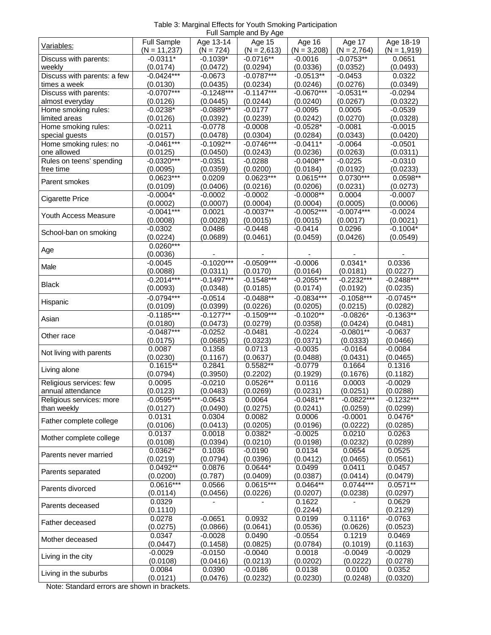| Table 3: Marginal Effects for Youth Smoking Participation |
|-----------------------------------------------------------|
| Full Sample and By Age                                    |

|                             |                                      |                          | <b>I</b> di Jampic and Dy Ago |                         |                         |                            |
|-----------------------------|--------------------------------------|--------------------------|-------------------------------|-------------------------|-------------------------|----------------------------|
| Variables:                  | <b>Full Sample</b><br>$(N = 11,237)$ | Age 13-14<br>$(N = 724)$ | Age 15<br>$(N = 2,613)$       | Age 16<br>$(N = 3,208)$ | Age 17<br>$(N = 2,764)$ | Age 18-19<br>$(N = 1,919)$ |
| Discuss with parents:       | $-0.0311*$                           | $-0.1039*$               | $-0.0716**$                   | $-0.0016$               | $-0.0753**$             | 0.0651                     |
| weekly                      | (0.0174)                             | (0.0472)                 | (0.0294)                      | (0.0336)                | (0.0352)                | (0.0493)                   |
| Discuss with parents: a few | $-0.0424***$                         | $-0.0673$                | $-0.0787***$                  | $-0.0513**$             | $-0.0453$               | 0.0322                     |
| times a week                |                                      |                          | (0.0234)                      |                         | (0.0276)                |                            |
|                             | (0.0130)<br>$-0.0707***$             | (0.0435)                 |                               | (0.0246)                |                         | (0.0349)                   |
| Discuss with parents:       |                                      | $-0.1248***$             | $-0.1147***$                  | $-0.0670***$            | $-0.0531**$             | $-0.0294$                  |
| almost everyday             | (0.0126)                             | (0.0445)                 | (0.0244)                      | (0.0240)                | (0.0267)                | (0.0322)                   |
| Home smoking rules:         | $-0.0238*$                           | $-0.0889**$              | $-0.0177$                     | $-0.0095$               | 0.0005                  | $-0.0539$                  |
| limited areas               | (0.0126)                             | (0.0392)                 | (0.0239)                      | (0.0242)                | (0.0270)                | (0.0328)                   |
| Home smoking rules:         | $-0.0211$                            | $-0.0778$                | $-0.0008$                     | $-0.0528*$              | $-0.0081$               | $-0.0015$                  |
| special guests              | (0.0157)                             | (0.0478)                 | (0.0304)                      | (0.0284)                | (0.0343)                | (0.0420)                   |
| Home smoking rules: no      | $-0.0461***$                         | $-0.1092**$              | $-0.0746***$                  | $-0.0411*$              | $-0.0064$               | $-0.0501$                  |
| one allowed                 | (0.0125)                             | (0.0450)                 | (0.0243)                      | (0.0236)                | (0.0263)                | (0.0311)                   |
| Rules on teens' spending    | $-0.0320***$                         | $-0.0351$                | $-0.0288$                     | $-0.0408**$             | $-0.0225$               | $-0.0310$                  |
| free time                   | (0.0095)                             | (0.0359)                 | (0.0200)                      | (0.0184)                | (0.0192)                | (0.0233)                   |
|                             | $0.0623***$                          | 0.0209                   | $0.0623***$                   | $0.0615***$             | $0.0730***$             | $0.0598**$                 |
| Parent smokes               | (0.0109)                             | (0.0406)                 | (0.0216)                      | (0.0206)                | (0.0231)                | (0.0273)                   |
|                             | $-0.0004*$                           | $-0.0002$                | $-0.0002$                     | $-0.0008**$             | 0.0004                  | $-0.0007$                  |
| <b>Cigarette Price</b>      | (0.0002)                             | (0.0007)                 | (0.0004)                      | (0.0004)                | (0.0005)                | (0.0006)                   |
|                             | $-0.0041***$                         | 0.0021                   | $-0.0037**$                   | $-0.0052***$            | $-0.0074***$            | $-0.0024$                  |
| Youth Access Measure        | (0.0008)                             | (0.0028)                 | (0.0015)                      | (0.0015)                | (0.0017)                | (0.0021)                   |
|                             | $-0.0302$                            | 0.0486                   | $-0.0448$                     | $-0.0414$               | 0.0296                  | $-0.1004*$                 |
| School-ban on smoking       | (0.0224)                             | (0.0689)                 | (0.0461)                      | (0.0459)                | (0.0426)                | (0.0549)                   |
|                             | $0.0260***$                          |                          |                               |                         |                         |                            |
| Age                         |                                      |                          |                               |                         |                         |                            |
|                             | (0.0036)                             |                          |                               |                         |                         |                            |
| Male                        | $-0.0045$                            | $-0.1020***$             | $-0.0509***$                  | $-0.0006$               | $0.0341*$               | 0.0336                     |
|                             | (0.0088)                             | (0.0311)                 | (0.0170)                      | (0.0164)                | (0.0181)                | (0.0227)                   |
| <b>Black</b>                | $-0.2014***$                         | $-0.1497***$             | $-0.1548***$                  | $-0.2055***$            | $-0.2232***$            | $-0.2488***$               |
|                             | (0.0093)                             | (0.0348)                 | (0.0185)                      | (0.0174)                | (0.0192)                | (0.0235)                   |
| Hispanic                    | $-0.0794***$                         | $-0.0514$                | $-0.0488**$                   | $-0.0834***$            | $-0.1058***$            | $-0.0745**$                |
|                             | (0.0109)                             | (0.0399)                 | (0.0226)                      | (0.0205)                | (0.0215)                | (0.0282)                   |
| Asian                       | $-0.1185***$                         | $-0.1277***$             | $-0.1509***$                  | $-0.1020**$             | $-0.0826*$              | $-0.1363***$               |
|                             | (0.0180)                             | (0.0473)                 | (0.0279)                      | (0.0358)                | (0.0424)                | (0.0481)                   |
|                             | $-0.0487***$                         | $-0.0252$                | $-0.0481$                     | $-0.0224$               | $-0.0801**$             | $-0.0637$                  |
| Other race                  | (0.0175)                             | (0.0685)                 | (0.0323)                      | (0.0371)                | (0.0333)                | (0.0466)                   |
|                             | 0.0087                               | 0.1358                   | 0.0713                        | $-0.0035$               | $-0.0164$               | $-0.0084$                  |
| Not living with parents     | (0.0230)                             | (0.1167)                 | (0.0637)                      | (0.0488)                | (0.0431)                | (0.0465)                   |
|                             | $0.1615**$                           | 0.2841                   | $0.5582**$                    | $-0.0779$               | 0.1664                  | 0.1316                     |
| Living alone                | (0.0794)                             | (0.3950)                 | (0.2202)                      | (0.1929)                | (0.1676)                | (0.1182)                   |
| Religious services: few     | 0.0095                               | $-0.0210$                | $0.0526**$                    | 0.0116                  | 0.0003                  | $-0.0029$                  |
| annual attendance           | (0.0123)                             | (0.0483)                 | (0.0269)                      | (0.0231)                | (0.0251)                | (0.0288)                   |
| Religious services: more    | $-0.0595***$                         | $-0.0643$                | 0.0064                        | $-0.0481**$             | $-0.0822***$            | $-0.1232***$               |
| than weekly                 | (0.0127)                             | (0.0490)                 | (0.0275)                      | (0.0241)                | (0.0259)                | (0.0299)                   |
|                             |                                      |                          |                               |                         |                         |                            |
| Father complete college     | 0.0131<br>(0.0106)                   | 0.0304                   | 0.0082                        | 0.0006                  | $-0.0001$               | $0.0476*$                  |
|                             |                                      | (0.0413)                 | (0.0205)                      | (0.0196)                | (0.0222)                | (0.0285)                   |
| Mother complete college     | 0.0137                               | 0.0018                   | $0.0382*$                     | $-0.0025$               | 0.0210                  | 0.0263                     |
|                             | (0.0108)                             | (0.0394)                 | (0.0210)                      | (0.0198)                | (0.0232)                | (0.0289)                   |
| Parents never married       | $0.0362*$                            | 0.1036                   | $-0.0190$                     | 0.0134                  | 0.0654                  | 0.0525                     |
|                             | (0.0219)                             | (0.0794)                 | (0.0396)                      | (0.0412)                | (0.0465)                | (0.0561)                   |
| Parents separated           | $0.0492**$                           | 0.0876                   | $0.0644*$                     | 0.0499                  | 0.0411                  | 0.0457                     |
|                             | (0.0200)                             | (0.787)                  | (0.0409)                      | (0.0387)                | (0.0414)                | (0.0479)                   |
| Parents divorced            | $0.0616***$                          | 0.0566                   | $0.0615***$                   | $0.0464**$              | $0.0744***$             | $0.0571**$                 |
|                             | (0.0114)                             | (0.0456)                 | (0.0226)                      | (0.0207)                | (0.0238)                | (0.0297)                   |
| Parents deceased            | 0.0329                               |                          |                               | 0.1622                  |                         | 0.0629                     |
|                             | (0.1110)                             |                          |                               | (0.2244)                |                         | (0.2129)                   |
|                             | 0.0278                               | $-0.0651$                | 0.0932                        | 0.0199                  | $0.1116*$               | $-0.0763$                  |
| Father deceased             | (0.0275)                             | (0.0866)                 | (0.0641)                      | (0.0536)                | (0.0626)                | (0.0523)                   |
|                             | 0.0347                               | $-0.0028$                | 0.0490                        | $-0.0554$               | 0.1219                  | 0.0469                     |
| Mother deceased             | (0.0447)                             | (0.1458)                 | (0.0825)                      | (0.0784)                | (0.1019)                | (0.1163)                   |
|                             | $-0.0029$                            | $-0.0150$                | $-0.0040$                     | 0.0018                  | $-0.0049$               | $-0.0029$                  |
| Living in the city          | (0.0108)                             | (0.0416)                 | (0.0213)                      | (0.0202)                | (0.0222)                | (0.0278)                   |
|                             | 0.0084                               | 0.0390                   | $-0.0186$                     | 0.0138                  | 0.0100                  | 0.0352                     |
| Living in the suburbs       | (0.0121)                             | (0.0476)                 | (0.0232)                      | (0.0230)                | (0.0248)                | (0.0320)                   |
|                             |                                      |                          |                               |                         |                         |                            |

Note: Standard errors are shown in brackets.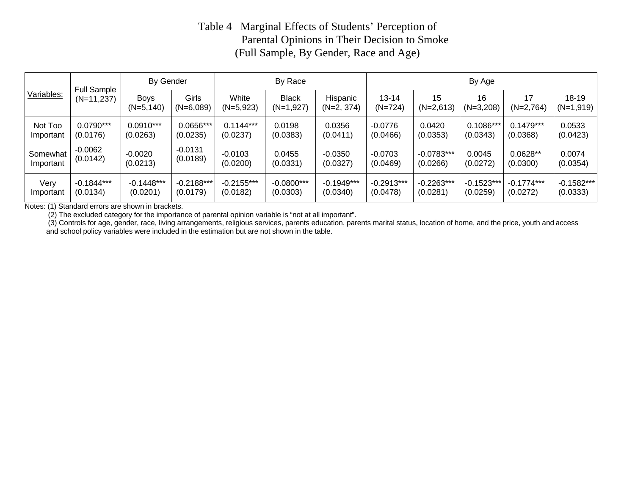## Table 4 Marginal Effects of Students' Perception of Parental Opinions in Their Decision to Smoke (Full Sample, By Gender, Race and Age)

| <b>Full Sample</b><br>Variables:<br>$(N=11,237)$ | By Gender    |                             | By Race              |                      |                             | By Age                   |                        |                   |                   |                   |                        |
|--------------------------------------------------|--------------|-----------------------------|----------------------|----------------------|-----------------------------|--------------------------|------------------------|-------------------|-------------------|-------------------|------------------------|
|                                                  |              | <b>Boys</b><br>$(N=5, 140)$ | Girls<br>$(N=6,089)$ | White<br>$(N=5,923)$ | <b>Black</b><br>$(N=1,927)$ | Hispanic<br>$(N=2, 374)$ | $13 - 14$<br>$(N=724)$ | 15<br>$(N=2,613)$ | 16<br>$(N=3,208)$ | 17<br>$(N=2,764)$ | $18-19$<br>$(N=1,919)$ |
| Not Too                                          | $0.0790***$  | $0.0910***$                 | $0.0656***$          | $0.1144***$          | 0.0198                      | 0.0356                   | $-0.0776$              | 0.0420            | $0.1086***$       | $0.1479***$       | 0.0533                 |
| Important                                        | (0.0176)     | (0.0263)                    | (0.0235)             | (0.0237)             | (0.0383)                    | (0.0411)                 | (0.0466)               | (0.0353)          | (0.0343)          | (0.0368)          | (0.0423)               |
| Somewhat                                         | $-0.0062$    | $-0.0020$                   | $-0.0131$            | $-0.0103$            | 0.0455                      | $-0.0350$                | $-0.0703$              | $-0.0783***$      | 0.0045            | $0.0628**$        | 0.0074                 |
| Important                                        | (0.0142)     | (0.0213)                    | (0.0189)             | (0.0200)             | (0.0331)                    | (0.0327)                 | (0.0469)               | (0.0266)          | (0.0272)          | (0.0300)          | (0.0354)               |
| Very                                             | $-0.1844***$ | $-0.1448***$                | $-0.2188***$         | $-0.2155***$         | $-0.0800***$                | $-0.1949***$             | $-0.2913***$           | $-0.2263***$      | $-0.1523***$      | $-0.1774***$      | $-0.1582***$           |
| Important                                        | (0.0134)     | (0.0201)                    | (0.0179)             | (0.0182)             | (0.0303)                    | (0.0340)                 | (0.0478)               | (0.0281)          | (0.0259)          | (0.0272)          | (0.0333)               |

Notes: (1) Standard errors are shown in brackets.

(2) The excluded category for the importance of parental opinion variable is "not at all important".

 (3) Controls for age, gender, race, living arrangements, religious services, parents education, parents marital status, location of home, and the price, youth and access and school policy variables were included in the estimation but are not shown in the table.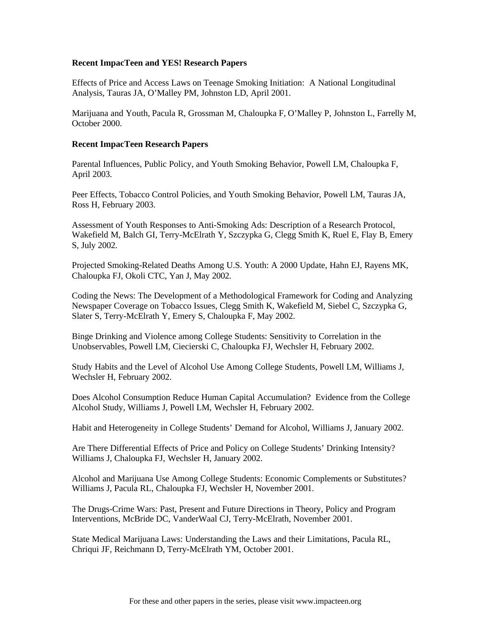#### **Recent ImpacTeen and YES! Research Papers**

Effects of Price and Access Laws on Teenage Smoking Initiation: A National Longitudinal Analysis, Tauras JA, O'Malley PM, Johnston LD, April 2001.

Marijuana and Youth, Pacula R, Grossman M, Chaloupka F, O'Malley P, Johnston L, Farrelly M, October 2000.

#### **Recent ImpacTeen Research Papers**

Parental Influences, Public Policy, and Youth Smoking Behavior, Powell LM, Chaloupka F, April 2003.

Peer Effects, Tobacco Control Policies, and Youth Smoking Behavior, Powell LM, Tauras JA, Ross H, February 2003.

Assessment of Youth Responses to Anti-Smoking Ads: Description of a Research Protocol, Wakefield M, Balch GI, Terry-McElrath Y, Szczypka G, Clegg Smith K, Ruel E, Flay B, Emery S, July 2002.

Projected Smoking-Related Deaths Among U.S. Youth: A 2000 Update, Hahn EJ, Rayens MK, Chaloupka FJ, Okoli CTC, Yan J, May 2002.

Coding the News: The Development of a Methodological Framework for Coding and Analyzing Newspaper Coverage on Tobacco Issues, Clegg Smith K, Wakefield M, Siebel C, Szczypka G, Slater S, Terry-McElrath Y, Emery S, Chaloupka F, May 2002.

Binge Drinking and Violence among College Students: Sensitivity to Correlation in the Unobservables, Powell LM, Ciecierski C, Chaloupka FJ, Wechsler H, February 2002.

Study Habits and the Level of Alcohol Use Among College Students, Powell LM, Williams J, Wechsler H, February 2002.

Does Alcohol Consumption Reduce Human Capital Accumulation? Evidence from the College Alcohol Study, Williams J, Powell LM, Wechsler H, February 2002.

Habit and Heterogeneity in College Students' Demand for Alcohol, Williams J, January 2002.

Are There Differential Effects of Price and Policy on College Students' Drinking Intensity? Williams J, Chaloupka FJ, Wechsler H, January 2002.

Alcohol and Marijuana Use Among College Students: Economic Complements or Substitutes? Williams J, Pacula RL, Chaloupka FJ, Wechsler H, November 2001.

The Drugs-Crime Wars: Past, Present and Future Directions in Theory, Policy and Program Interventions, McBride DC, VanderWaal CJ, Terry-McElrath, November 2001.

State Medical Marijuana Laws: Understanding the Laws and their Limitations, Pacula RL, Chriqui JF, Reichmann D, Terry-McElrath YM, October 2001.